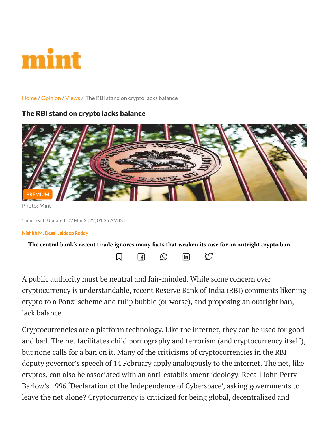

## [Home](https://www.livemint.com/) / [Opinion](https://www.livemint.com/budget/opinion) / [Views](https://www.livemint.com/opinion/online-views) / The RBI stand on crypto lacks balance

## The RBI stand on crypto lacks balance



5 min read . Updated: 02 Mar 2022, 01:35 AM IST

## Nishith M. Desai,Jaideep Reddy

| The central bank's recent tirade ignores many facts that weaken its case for an outright crypto ban |  |  |
|-----------------------------------------------------------------------------------------------------|--|--|
|-----------------------------------------------------------------------------------------------------|--|--|

 $\mathfrak{S}$ 



A public authority must be neutral and fair-minded. While some concern over cryptocurrency is understandable, recent Reserve Bank of India (RBI) comments likening crypto to a Ponzi scheme and tulip bubble (or worse), and proposing an outright ban, lack balance.

Cryptocurrencies are a platform technology. Like the internet, they can be used for good and bad. The net facilitates child pornography and terrorism (and cryptocurrency itself), but none calls for a ban on it. Many of the criticisms of cryptocurrencies in the RBI deputy governor's speech of 14 February apply analogously to the internet. The net, like cryptos, can also be associated with an anti-establishment ideology. Recall John Perry Barlow's 1996 'Declaration of the Independence of Cyberspace', asking governments to leave the net alone? Cryptocurrency is criticized for being global, decentralized and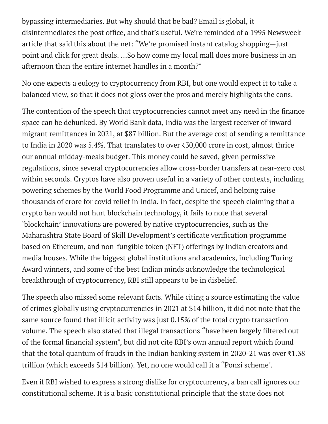bypassing intermediaries. But why should that be bad? Email is global, it article that said this about the net: "We're promised instant catalog shopping—just point and click for great deals. …So how come my local mall does more business in an afternoon than the entire internet handles in a month?" bypassing intermediaries. But why should that be bad? Email is global, it<br>disintermediates the post office, and that's useful. We're reminded of a 1995 Newsweek<br>article that said this about the net: "We're promised instant

No one expects a eulogy to cryptocurrency from RBI, but one would expect it to take a balanced view, so that it does not gloss over the pros and merely highlights the cons.

disintermediates the post office, and that's useful. We're reminded of a 1995 Newsweek<br>uride that said this about the net: "We're promised instant cataly alsopping--just<br>point and click for great deals. ...So how come my l space can be debunked. By World Bank data, India was the largest receiver of inward migrant remittances in 2021, at \$87 billion. But the average cost of sending a remittance to India in 2020 was 5.4%. That translates to over ₹30,000 crore in cost, almost thrice our annual midday-meals budget. This money could be saved, given permissive regulations, since several cryptocurrencies allow cross-border transfers at near-zero cost within seconds. Cryptos have also proven useful in a variety of other contexts, including powering schemes by the World Food Programme and Unicef, and helping raise thousands of crore for covid relief in India. In fact, despite the speech claiming that a crypto ban would not hurt blockchain technology, it fails to note that several 'blockchain' innovations are powered by native cryptocurrencies, such as the bypassing intermediaries. But why should that be bad? Email is global, it<br>disintermediates the post office, and that's useful. We're reminded of a 1995 Newsweek<br>article that said this about the net." We're promised instant based on Ethereum, and non-fungible token (NFT) offerings by Indian creators and media houses. While the biggest global institutions and academics, including Turing Award winners, and some of the best Indian minds acknowledge the technological breakthrough of cryptocurrency, RBI still appears to be in disbelief. imail is global, it<br>reminded of a 1995 Newsweek<br>ant catalog shopping—just<br>mall does more business in an<br>to none would expect it to take a<br>l merely highlights the cons.<br>not meet any need in the finance<br>elargest receiver of bypassing intermediaries. But why should that be b<br>disintermediates the post office, and that's useful.<br>Tricle that said this about the net: "We're promise<br>point and click for great deals. ...So how come my la<br>fitemoon tha

The speech also missed some relevant facts. While citing a source estimating the value of crimes globally using cryptocurrencies in 2021 at \$14 billion, it did not note that the same source found that illicit activity was just 0.15% of the total crypto transaction volume. The speech also stated that illegal transactions "have been largely filtered out of the formal financial system", but did not cite RBI's own annual report which found that the total quantum of frauds in the Indian banking system in 2020-21 was over  $\bar{\ell}$ 1.38 trillion (which exceeds \$14 billion). Yet, no one would call it a "Ponzi scheme" .

Even if RBI wished to express a strong dislike for cryptocurrency, a ban call ignores our constitutional scheme. It is a basic constitutional principle that the state does not